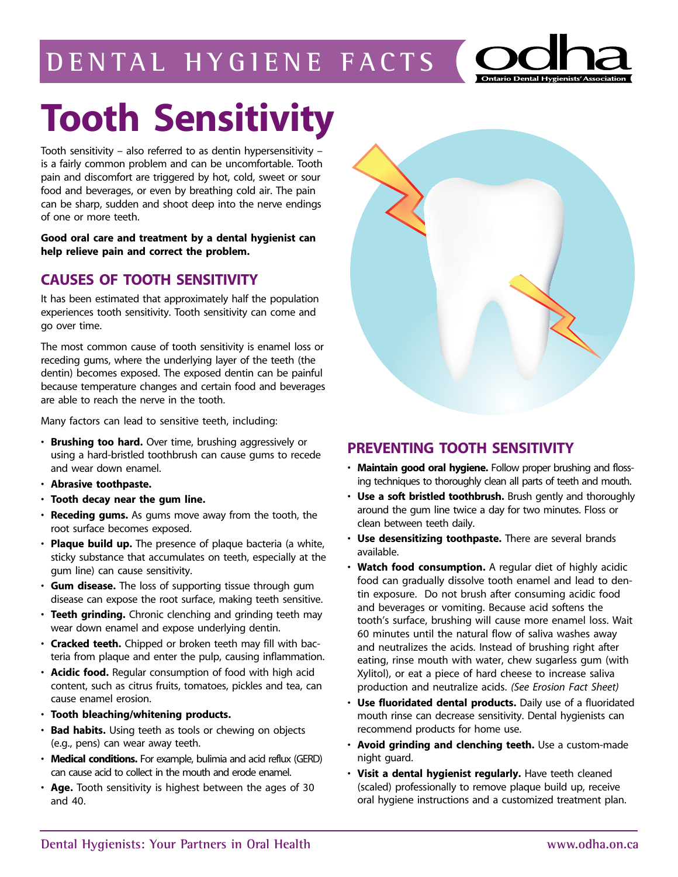## **d ental hy giene facts**



# **Tooth Sensitivity**

Tooth sensitivity – also referred to as dentin hypersensitivity – is a fairly common problem and can be uncomfortable. Tooth pain and discomfort are triggered by hot, cold, sweet or sour food and beverages, or even by breathing cold air. The pain can be sharp, sudden and shoot deep into the nerve endings of one or more teeth.

**Good oral care and treatment by a dental hygienist can help relieve pain and correct the problem.**

### **CAUSES OF TOOTH SENSITIVITY**

It has been estimated that approximately half the population experiences tooth sensitivity. Tooth sensitivity can come and go over time.

The most common cause of tooth sensitivity is enamel loss or receding gums, where the underlying layer of the teeth (the dentin) becomes exposed. The exposed dentin can be painful because temperature changes and certain food and beverages are able to reach the nerve in the tooth.

Many factors can lead to sensitive teeth, including:

- **Brushing too hard.** Over time, brushing aggressively or using a hard-bristled toothbrush can cause gums to recede and wear down enamel.
- **Abrasive toothpaste.**
- **Tooth decay near the gum line.**
- **Receding gums.** As gums move away from the tooth, the root surface becomes exposed.
- **Plaque build up.** The presence of plaque bacteria (a white, sticky substance that accumulates on teeth, especially at the gum line) can cause sensitivity.
- **Gum disease.** The loss of supporting tissue through gum disease can expose the root surface, making teeth sensitive.
- **Teeth grinding.** Chronic clenching and grinding teeth may wear down enamel and expose underlying dentin.
- **Cracked teeth.** Chipped or broken teeth may fill with bacteria from plaque and enter the pulp, causing inflammation.
- **Acidic food.** Regular consumption of food with high acid content, such as citrus fruits, tomatoes, pickles and tea, can cause enamel erosion.
- **Tooth bleaching/whitening products.**
- **Bad habits.** Using teeth as tools or chewing on objects (e.g., pens) can wear away teeth.
- **Medical conditions.** For example, bulimia and acid reflux (GERD) can cause acid to collect in the mouth and erode enamel.
- **Age.** Tooth sensitivity is highest between the ages of 30 and 40.



### **PREVENTING TOOTH SENSITIVITY**

- **Maintain good oral hygiene.** Follow proper brushing and flossing techniques to thoroughly clean all parts of teeth and mouth.
- **Use a soft bristled toothbrush.** Brush gently and thoroughly around the gum line twice a day for two minutes. Floss or clean between teeth daily.
- **Use desensitizing toothpaste.** There are several brands available.
- **Watch food consumption.** A regular diet of highly acidic food can gradually dissolve tooth enamel and lead to dentin exposure. Do not brush after consuming acidic food and beverages or vomiting. Because acid softens the tooth's surface, brushing will cause more enamel loss. Wait 60 minutes until the natural flow of saliva washes away and neutralizes the acids. Instead of brushing right after eating, rinse mouth with water, chew sugarless gum (with Xylitol), or eat a piece of hard cheese to increase saliva production and neutralize acids. *(See Erosion Fact Sheet)*
- **Use fluoridated dental products.** Daily use of a fluoridated mouth rinse can decrease sensitivity. Dental hygienists can recommend products for home use.
- **Avoid grinding and clenching teeth.** Use a custom-made night guard.
- **Visit a dental hygienist regularly.** Have teeth cleaned (scaled) professionally to remove plaque build up, receive oral hygiene instructions and a customized treatment plan.